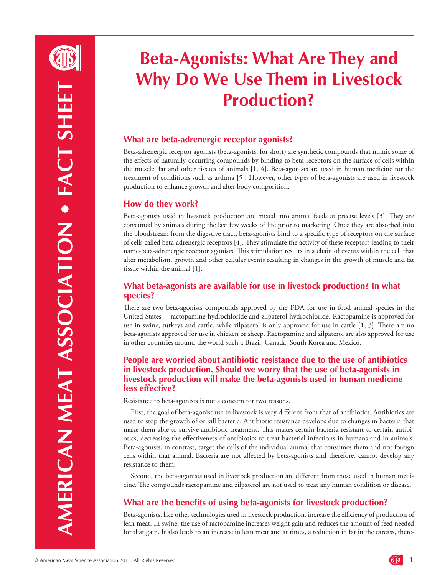

# **Beta-Agonists: What Are They and Why Do We Use Them in Livestock Production?**

## **What are beta-adrenergic receptor agonists?**

Beta-adrenergic receptor agonists (beta-agonists, for short) are synthetic compounds that mimic some of the effects of naturally-occurring compounds by binding to beta-receptors on the surface of cells within the muscle, fat and other tissues of animals [1, 4]. Beta-agonists are used in human medicine for the treatment of conditions such as asthma [5]. However, other types of beta-agonists are used in livestock production to enhance growth and alter body composition.

## **How do they work?**

Beta-agonists used in livestock production are mixed into animal feeds at precise levels [3]. They are consumed by animals during the last few weeks of life prior to marketing. Once they are absorbed into the bloodstream from the digestive tract, beta-agonists bind to a specific type of receptors on the surface of cells called beta-adrenergic receptors [4]. They stimulate the activity of these receptors leading to their name-beta-adrenergic receptor agonists. This stimulation results in a chain of events within the cell that alter metabolism, growth and other cellular events resulting in changes in the growth of muscle and fat tissue within the animal [1].

### **What beta-agonists are available for use in livestock production? In what species?**

There are two beta-agonists compounds approved by the FDA for use in food animal species in the United States —ractopamine hydrochloride and zilpaterol hydrochloride. Ractopamine is approved for use in swine, turkeys and cattle, while zilpaterol is only approved for use in cattle [1, 3]. There are no beta-agonists approved for use in chicken or sheep. Ractopamine and zilpaterol are also approved for use in other countries around the world such a Brazil, Canada, South Korea and Mexico.

### **People are worried about antibiotic resistance due to the use of antibiotics in livestock production. Should we worry that the use of beta-agonists in livestock production will make the beta-agonists used in human medicine less effective?**

Resistance to beta-agonists is not a concern for two reasons.

First, the goal of beta-agonist use in livestock is very different from that of antibiotics. Antibiotics are used to stop the growth of or kill bacteria. Antibiotic resistance develops due to changes in bacteria that make them able to survive antibiotic treatment. This makes certain bacteria resistant to certain antibiotics, decreasing the effectiveness of antibiotics to treat bacterial infections in humans and in animals. Beta-agonists, in contrast, target the cells of the individual animal that consumes them and not foreign cells within that animal. Bacteria are not affected by beta-agonists and therefore, cannot develop any resistance to them.

Second, the beta-agonists used in livestock production are different from those used in human medicine. The compounds ractopamine and zilpaterol are not used to treat any human condition or disease.

# **What are the benefits of using beta-agonists for livestock production?**

Beta-agonists, like other technologies used in livestock production, increase the efficiency of production of lean meat. In swine, the use of ractopamine increases weight gain and reduces the amount of feed needed for that gain. It also leads to an increase in lean meat and at times, a reduction in fat in the carcass, there-